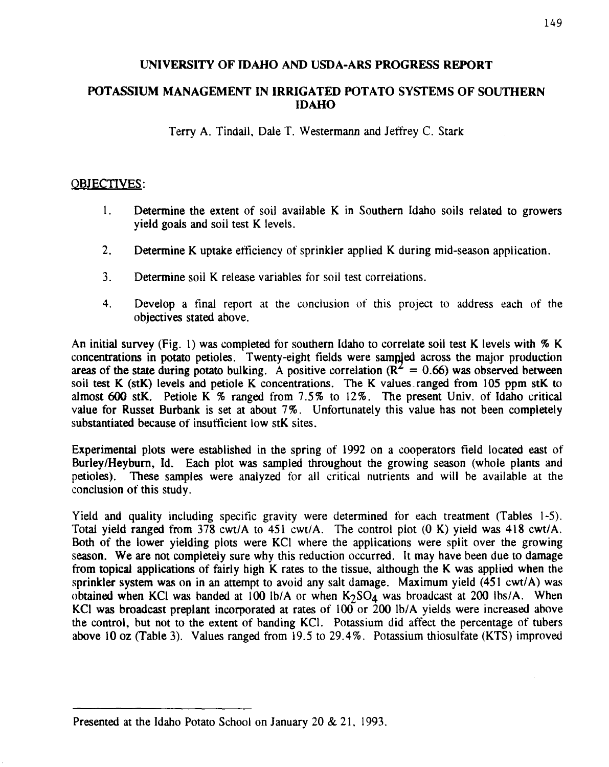#### **UNIVERSITY OF IDAHO AND USDA-ARS PROGRESS REPORT**

#### **POTASSIUM MANAGEMENT IN IRRIGATED POTATO SYSTEMS OF SOUTHERN IDAHO**

Terry A. Tindall, Dale T. Westermann and Jeffrey C. Stark

#### OBJECTIVES:

- 1. Determine the extent of soil available K in Southern Idaho soils related to growers yield goals and soil test K levels.
- 2. Determine K uptake efficiency of sprinkler applied K during mid-season application.
- 3. Determine soil K release variables for soil test correlations.
- 4. Develop a final report at the conclusion of this project to address each of the objectives stated above.

An initial survey (Fig. 1) was completed for southern Idaho to correlate soil test K levels with % K concentrations in potato petioles. Twenty-eight fields were samp ed across the major production areas of the state during potato bulking. A positive correlation ( $R^2 = 0.66$ ) was observed between soil test K (stK) levels and petiole K concentrations. The K values ranged from 105 ppm stK to almost 600 stK. Petiole K % ranged from 7.5% to 12%. The present Univ. of Idaho critical value for Russet Burbank is set at about 7%. Unfortunately this value has not been completely substantiated because of insufficient low stK sites.

Experimental plots were established in the spring of 1992 on a cooperators field located east of Burley/Heyburn, Id. Each plot was sampled throughout the growing season (whole plants and petioles). These samples were analyzed for all critical nutrients and will he available at the conclusion of this study.

Yield and quality including specific gravity were determined for each treatment (Tables 1-5). Total yield ranged from 378 cwt/A to 451 cwt/A. The control plot (0 K) yield was 418 cwt/A. Both of the lower yielding plots were KCl where the applications were split over the growing season. We are not completely sure why this reduction occurred. It may have been due to damage from topical applications of fairly high K rates to the tissue, although the K was applied when the sprinkler system was on in an attempt to avoid any salt damage. Maximum yield (451 cwt/A) was obtained when KCl was banded at 100 lb/A or when  $K_2SO_4$  was broadcast at 200 lbs/A. When KCl was broadcast preplant incorporated at rates of 100 or 200 lb/A yields were increased above the control, but not to the extent of banding KCI. Potassium did affect the percentage of tubers above 10 oz (Table 3). Values ranged from 19.5 to 29.4%. Potassium thiosulfate (KTS) improved

Presented at the Idaho Potato School on January 20 & 21, 1993.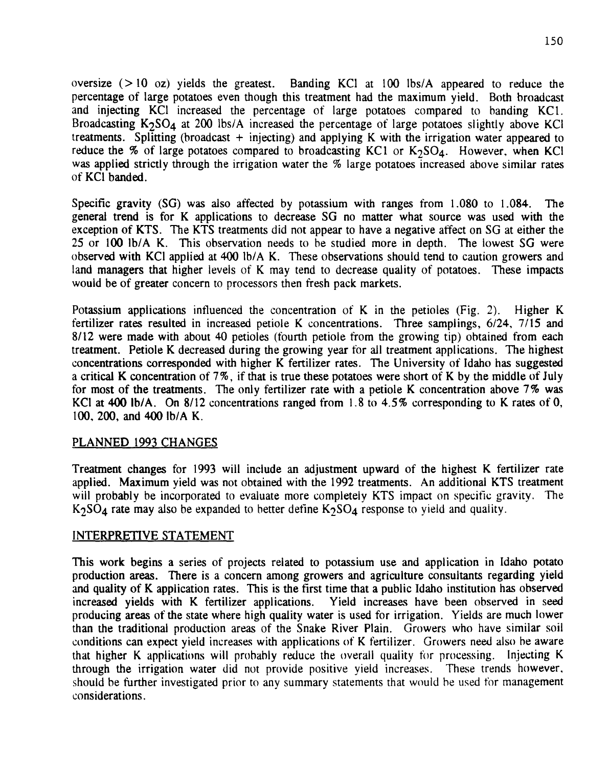oversize  $(> 10 \text{ oz})$  yields the greatest. Banding KCl at 100 lbs/A appeared to reduce the percentage of large potatoes even though this treatment had the maximum yield. Both broadcast and injecting KCI increased the percentage of large potatoes compared to handing KC1. Broadcasting  $K_2SO_4$  at 200 lbs/A increased the percentage of large potatoes slightly above KCl treatments. Splitting (broadcast + injecting) and applying K with the irrigation water appeared to reduce the % of large potatoes compared to broadcasting KC1 or  $K_2SO_4$ . However, when KCl was applied strictly through the irrigation water the % large potatoes increased above similar rates of KCI banded.

Specific gravity (SG) was also affected by potassium with ranges from 1.080 to 1.084. The general trend is for K applications to decrease SG no matter what source was used with the exception of KTS. The KTS treatments did not appear to have a negative affect on SG at either the 25 or 100 lb/A K. This observation needs to he studied more in depth. The lowest SG were observed with KCI applied at 400 lb/A K. These observations should tend to caution growers and land managers that higher levels of K may tend to decrease quality of potatoes. These impacts would be of greater concern to processors then fresh pack markets.

Potassium applications influenced the concentration of K in the petioles (Fig. 2). Higher K fertilizer rates resulted in increased petiole K concentrations. Three samplings, 6/24, 7/15 and 8/12 were made with about 40 petioles (fourth petiole from the growing tip) obtained from each treatment. Petiole K decreased during the growing year for all treatment applications. The highest concentrations corresponded with higher K fertilizer rates. The University of Idaho has suggested a critical K concentration of 7%, if that is true these potatoes were short of K by the middle of July for most of the treatments. The only fertilizer rate with a petiole K concentration above 7% was KCI at 400 lb/A. On 8/12 concentrations ranged from 1.8 to 4.5% corresponding to K rates of 0, 100, 200, and 400 lb/A K.

#### PLANNED 1993 CHANGES

Treatment changes for 1993 will include an adjustment upward of the highest K fertilizer rate applied. Maximum yield was not obtained with the 1992 treatments. An additional KTS treatment will probably be incorporated to evaluate more completely KTS impact on specific gravity. The K<sub>2</sub>SO<sub>4</sub> rate may also be expanded to better define K<sub>2</sub>SO<sub>4</sub> response to yield and quality.

#### INTERPRETIVE STATEMENT

This work begins a series of projects related to potassium use and application in Idaho potato production areas. There is a concern among growers and agriculture consultants regarding yield and quality of K application rates. This is the first time that a public Idaho institution has observed increased yields with K fertilizer applications. Yield increases have been observed in seed producing areas of the state where high quality water is used for irrigation. Yields are much lower than the traditional production areas of the Snake River Plain. Growers who have similar soil conditions can expect yield increases with applications of K fertilizer. Growers need also he aware that higher K applications will probably reduce the overall quality for processing. Injecting K through the irrigation water did not provide positive yield increases. These trends however, should be further investigated prior to any summary statements that would he used for management considerations.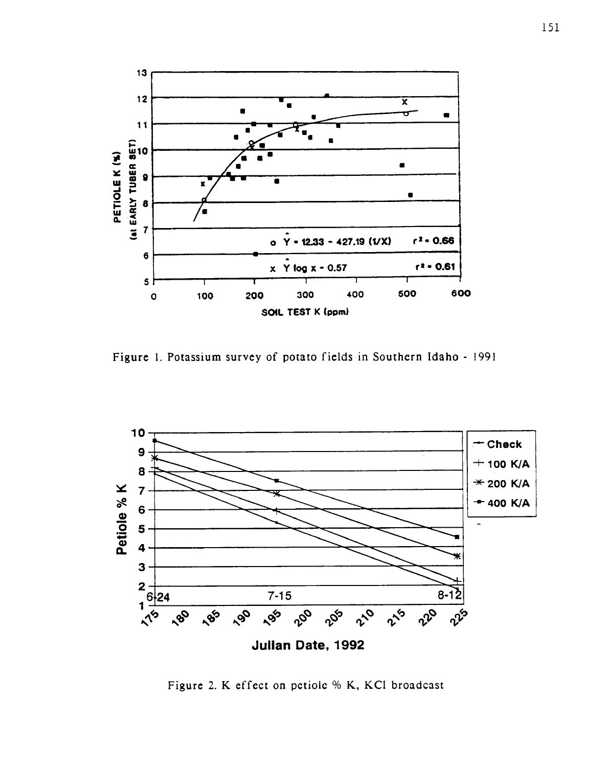

Figure 1. Potassium survey of potato fields in Southern Idaho - 1991



Figure 2. K effect on petiole % K, KC1 broadcast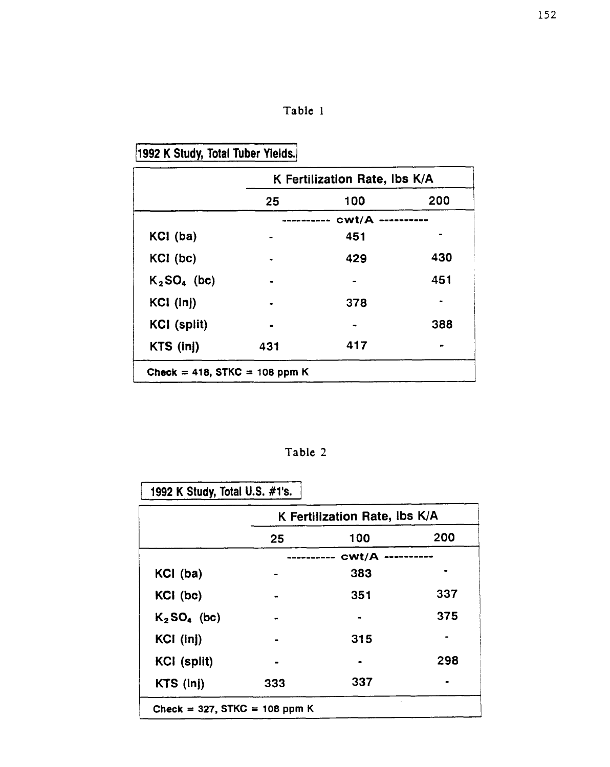|  | a bic |  |
|--|-------|--|
|--|-------|--|

## 1992 K Study, Total Tuber Yields.

|                               | K Fertilization Rate, ibs K/A |       |     |
|-------------------------------|-------------------------------|-------|-----|
|                               | 25                            | 100   | 200 |
|                               |                               | cwt/A |     |
| KCI (ba)                      |                               | 451   |     |
| KCI (bc)                      |                               | 429   | 430 |
| $K_2SO_4$ (bc)                |                               |       | 451 |
| KCI (inj)                     |                               | 378   |     |
| <b>KCI</b> (split)            |                               |       | 388 |
| $KTS$ (inj)                   | 431                           | 417   |     |
| Check = 418, STKC = 108 ppm K |                               |       |     |

Table 2

1992 K Study, Total U.S. #1's.

|                            | K Fertilization Rate, Ibs K/A |                |     |
|----------------------------|-------------------------------|----------------|-----|
|                            | 25                            | 100            | 200 |
|                            | cwt/A                         |                |     |
| KCI (ba)                   |                               | 383            |     |
| KCI (bc)                   |                               | 351            | 337 |
| $K_2$ SO <sub>4</sub> (bc) |                               |                | 375 |
| $KCI$ (inj)                |                               | 315            |     |
| <b>KCI</b> (split)         |                               | $\blacksquare$ | 298 |
| KTS (inj)                  | 333                           | 337            |     |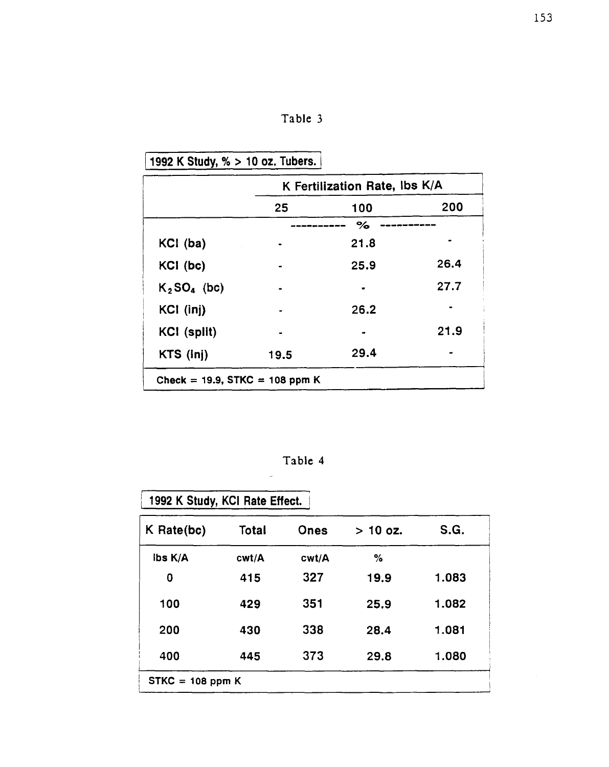### Table 3

## 1992 K Study, % > 10 **oz. Tubers.**

|                                | K Fertilization Rate, Ibs K/A |      |      |
|--------------------------------|-------------------------------|------|------|
|                                | 25                            | 100  | 200  |
|                                |                               | $\%$ |      |
| KCI (ba)                       |                               | 21.8 |      |
| KCI (bc)                       |                               | 25.9 | 26.4 |
| $K_2SO_4$ (bc)                 |                               |      | 27.7 |
| KCI (inj)                      |                               | 26.2 |      |
| <b>KCI</b> (split)             |                               |      | 21.9 |
| KTS (inj)                      | 19.5                          | 29.4 |      |
| Check = 19.9, STKC = 108 ppm K |                               |      |      |

Table 4

 $\overline{\phantom{a}}$ 

| 1992 K Study, KCI Rate Effect. |       |       |            |       |
|--------------------------------|-------|-------|------------|-------|
| $K$ Rate(bc)                   | Total | Ones  | $> 10$ oz. | S.G.  |
| ibs K/A                        | cwt/A | cwt/A | ℅          |       |
| 0                              | 415   | 327   | 19.9       | 1.083 |
| 100                            | 429   | 351   | 25.9       | 1.082 |
| 200                            | 430   | 338   | 28.4       | 1.081 |
| 400                            | 445   | 373   | 29.8       | 1.080 |
| $STKC = 108 ppm K$             |       |       |            |       |